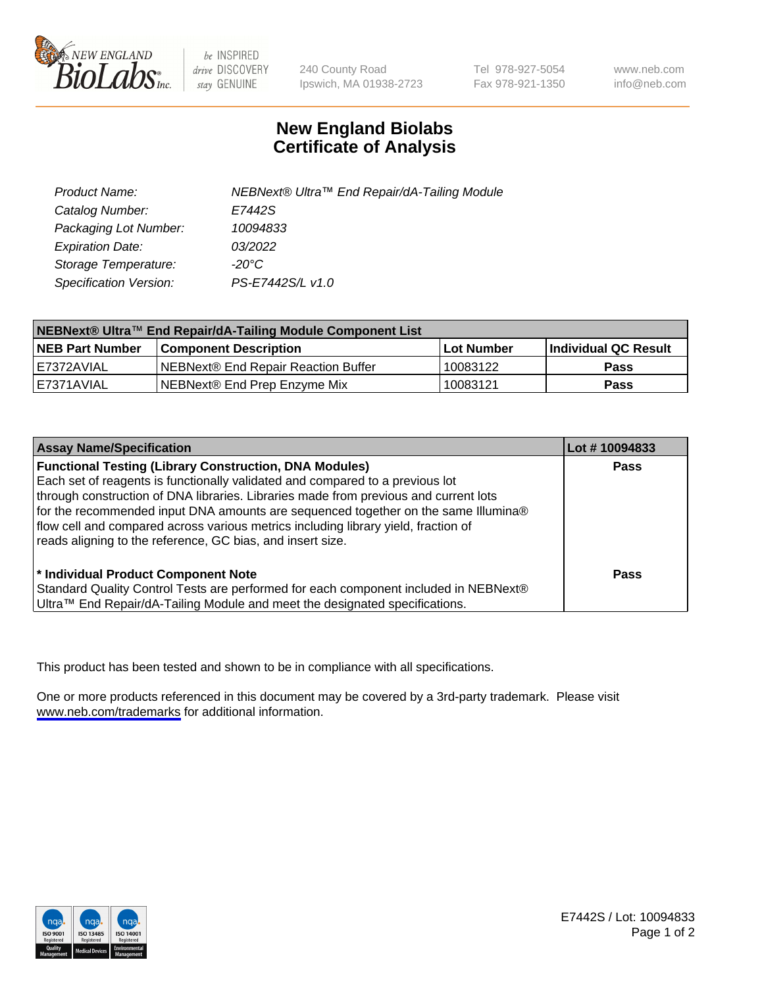

be INSPIRED drive DISCOVERY stay GENUINE

240 County Road Ipswich, MA 01938-2723 Tel 978-927-5054 Fax 978-921-1350

www.neb.com info@neb.com

## **New England Biolabs Certificate of Analysis**

| Product Name:           | NEBNext® Ultra™ End Repair/dA-Tailing Module |
|-------------------------|----------------------------------------------|
| Catalog Number:         | E7442S                                       |
| Packaging Lot Number:   | 10094833                                     |
| <b>Expiration Date:</b> | 03/2022                                      |
| Storage Temperature:    | -20°C                                        |
| Specification Version:  | PS-E7442S/L v1.0                             |

| NEBNext® Ultra™ End Repair/dA-Tailing Module Component List |                                       |              |                       |  |
|-------------------------------------------------------------|---------------------------------------|--------------|-----------------------|--|
| <b>NEB Part Number</b>                                      | <b>Component Description</b>          | l Lot Number | ∣Individual QC Result |  |
| I E7372AVIAL                                                | INEBNext® End Repair Reaction Buffer_ | 10083122     | <b>Pass</b>           |  |
| I E7371AVIAL                                                | NEBNext® End Prep Enzyme Mix          | 10083121     | <b>Pass</b>           |  |

| <b>Assay Name/Specification</b>                                                                                                                                                                                                                                                                                                                                                                                                                                                  | Lot #10094833 |
|----------------------------------------------------------------------------------------------------------------------------------------------------------------------------------------------------------------------------------------------------------------------------------------------------------------------------------------------------------------------------------------------------------------------------------------------------------------------------------|---------------|
| <b>Functional Testing (Library Construction, DNA Modules)</b><br>Each set of reagents is functionally validated and compared to a previous lot<br>through construction of DNA libraries. Libraries made from previous and current lots<br>for the recommended input DNA amounts are sequenced together on the same Illumina®<br>flow cell and compared across various metrics including library yield, fraction of<br>reads aligning to the reference, GC bias, and insert size. | <b>Pass</b>   |
| * Individual Product Component Note<br>Standard Quality Control Tests are performed for each component included in NEBNext®<br>Ultra™ End Repair/dA-Tailing Module and meet the designated specifications.                                                                                                                                                                                                                                                                       | Pass          |

This product has been tested and shown to be in compliance with all specifications.

One or more products referenced in this document may be covered by a 3rd-party trademark. Please visit <www.neb.com/trademarks>for additional information.